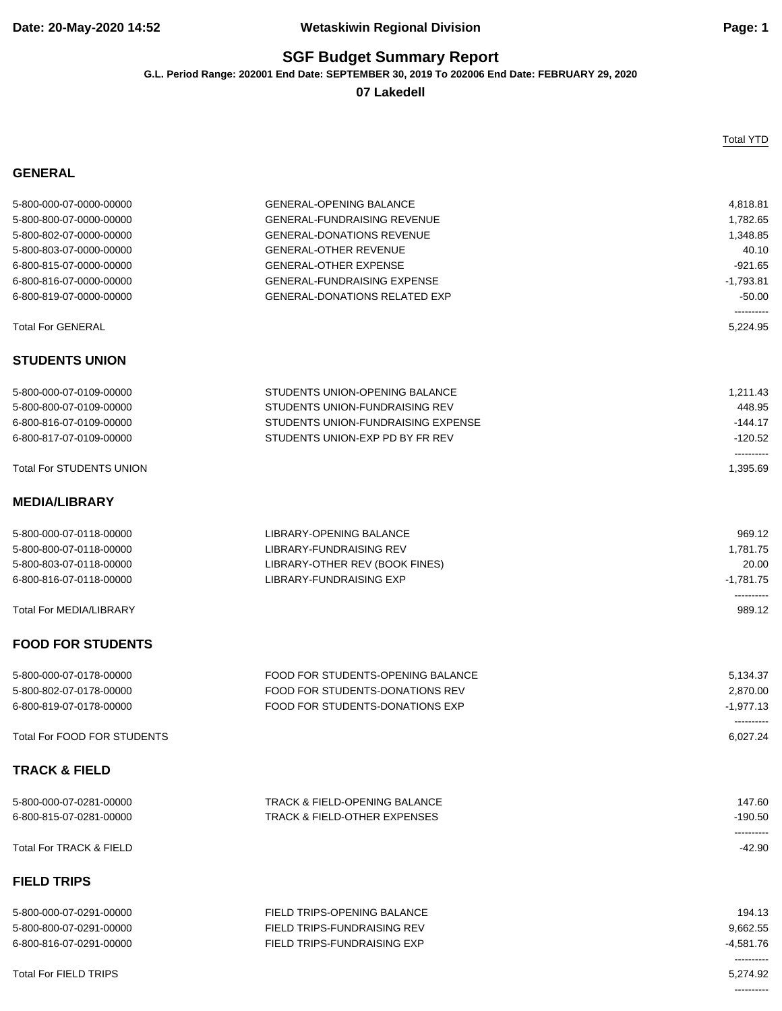## **Date: 20-May-2020 14:52 Wetaskiwin Regional Division Page: 1**

## **SGF Budget Summary Report**

**G.L. Period Range: 202001 End Date: SEPTEMBER 30, 2019 To 202006 End Date: FEBRUARY 29, 2020**

**07 Lakedell**

### **GENERAL**

Total YTD

----------

| 5-800-000-07-0000-00000            | <b>GENERAL-OPENING BALANCE</b>           | 4,818.81               |
|------------------------------------|------------------------------------------|------------------------|
| 5-800-800-07-0000-00000            | <b>GENERAL-FUNDRAISING REVENUE</b>       | 1,782.65               |
| 5-800-802-07-0000-00000            | <b>GENERAL-DONATIONS REVENUE</b>         | 1,348.85               |
| 5-800-803-07-0000-00000            | <b>GENERAL-OTHER REVENUE</b>             | 40.10                  |
| 6-800-815-07-0000-00000            | <b>GENERAL-OTHER EXPENSE</b>             | $-921.65$              |
| 6-800-816-07-0000-00000            | <b>GENERAL-FUNDRAISING EXPENSE</b>       | $-1,793.81$            |
| 6-800-819-07-0000-00000            | <b>GENERAL-DONATIONS RELATED EXP</b>     | $-50.00$               |
|                                    |                                          | ----------             |
| <b>Total For GENERAL</b>           |                                          | 5,224.95               |
| <b>STUDENTS UNION</b>              |                                          |                        |
| 5-800-000-07-0109-00000            | STUDENTS UNION-OPENING BALANCE           | 1,211.43               |
| 5-800-800-07-0109-00000            | STUDENTS UNION-FUNDRAISING REV           | 448.95                 |
| 6-800-816-07-0109-00000            | STUDENTS UNION-FUNDRAISING EXPENSE       | $-144.17$              |
| 6-800-817-07-0109-00000            | STUDENTS UNION-EXP PD BY FR REV          | $-120.52$              |
| <b>Total For STUDENTS UNION</b>    |                                          | ----------<br>1,395.69 |
|                                    |                                          |                        |
| <b>MEDIA/LIBRARY</b>               |                                          |                        |
| 5-800-000-07-0118-00000            | LIBRARY-OPENING BALANCE                  | 969.12                 |
| 5-800-800-07-0118-00000            | LIBRARY-FUNDRAISING REV                  | 1,781.75               |
| 5-800-803-07-0118-00000            | LIBRARY-OTHER REV (BOOK FINES)           | 20.00                  |
| 6-800-816-07-0118-00000            | LIBRARY-FUNDRAISING EXP                  | $-1,781.75$            |
| <b>Total For MEDIA/LIBRARY</b>     |                                          | ----------<br>989.12   |
| <b>FOOD FOR STUDENTS</b>           |                                          |                        |
| 5-800-000-07-0178-00000            | FOOD FOR STUDENTS-OPENING BALANCE        | 5,134.37               |
| 5-800-802-07-0178-00000            | FOOD FOR STUDENTS-DONATIONS REV          | 2,870.00               |
| 6-800-819-07-0178-00000            | FOOD FOR STUDENTS-DONATIONS EXP          | $-1,977.13$            |
|                                    |                                          | ----------             |
| <b>Total For FOOD FOR STUDENTS</b> |                                          | 6,027.24               |
| <b>TRACK &amp; FIELD</b>           |                                          |                        |
| 5-800-000-07-0281-00000            | <b>TRACK &amp; FIELD-OPENING BALANCE</b> | 147.60                 |
| 6-800-815-07-0281-00000            | <b>TRACK &amp; FIELD-OTHER EXPENSES</b>  | $-190.50$              |
|                                    |                                          | ----------             |
| <b>Total For TRACK &amp; FIELD</b> |                                          | $-42.90$               |
| <b>FIELD TRIPS</b>                 |                                          |                        |
| 5-800-000-07-0291-00000            | <b>FIELD TRIPS-OPENING BALANCE</b>       | 194.13                 |
| 5-800-800-07-0291-00000            | FIELD TRIPS-FUNDRAISING REV              | 9,662.55               |
| 6-800-816-07-0291-00000            | FIELD TRIPS-FUNDRAISING EXP              | $-4,581.76$            |
|                                    |                                          | ----------             |
| <b>Total For FIELD TRIPS</b>       |                                          | 5.274.92               |